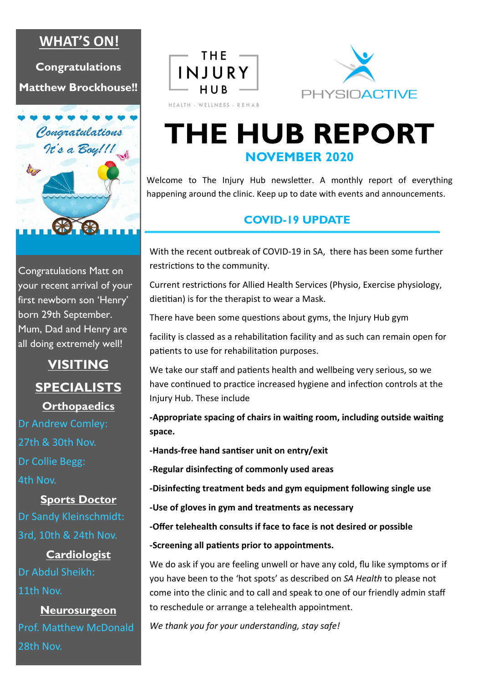## **WHAT'S ON!**

**Congratulations Matthew Brockhouse!!**



Congratulations Matt on your recent arrival of your first newborn son 'Henry' born 29th September. Mum, Dad and Henry are all doing extremely well!

# **VISITING SPECIALISTS Orthopaedics**

Dr Andrew Comley: 27th & 30th Nov. Dr Collie Begg: 4th Nov.

**Sports Doctor** Dr Sandy Kleinschmidt: 3rd, 10th & 24th Nov.

**Cardiologist** Dr Abdul Sheikh: 11th Nov.

**Neurosurgeon** Prof. Matthew McDonald 28th Nov.





# **THE HUB REPORT NOVEMBER 2020**

Welcome to The Injury Hub newsletter. A monthly report of everything happening around the clinic. Keep up to date with events and announcements.

### **COVID-19 UPDATE**

With the recent outbreak of COVID-19 in SA, there has been some further restrictions to the community.

Current restrictions for Allied Health Services (Physio, Exercise physiology, dietitian) is for the therapist to wear a Mask.

There have been some questions about gyms, the Injury Hub gym

facility is classed as a rehabilitation facility and as such can remain open for patients to use for rehabilitation purposes.

We take our staff and patients health and wellbeing very serious, so we have continued to practice increased hygiene and infection controls at the Injury Hub. These include

**-Appropriate spacing of chairs in waiting room, including outside waiting space.**

**-Hands-free hand santiser unit on entry/exit** 

**-Regular disinfecting of commonly used areas**

**-Disinfecting treatment beds and gym equipment following single use**

**-Use of gloves in gym and treatments as necessary**

**-Offer telehealth consults if face to face is not desired or possible**

**-Screening all patients prior to appointments.**

We do ask if you are feeling unwell or have any cold, flu like symptoms or if you have been to the 'hot spots' as described on *SA Health* to please not come into the clinic and to call and speak to one of our friendly admin staff to reschedule or arrange a telehealth appointment.

*We thank you for your understanding, stay safe!*